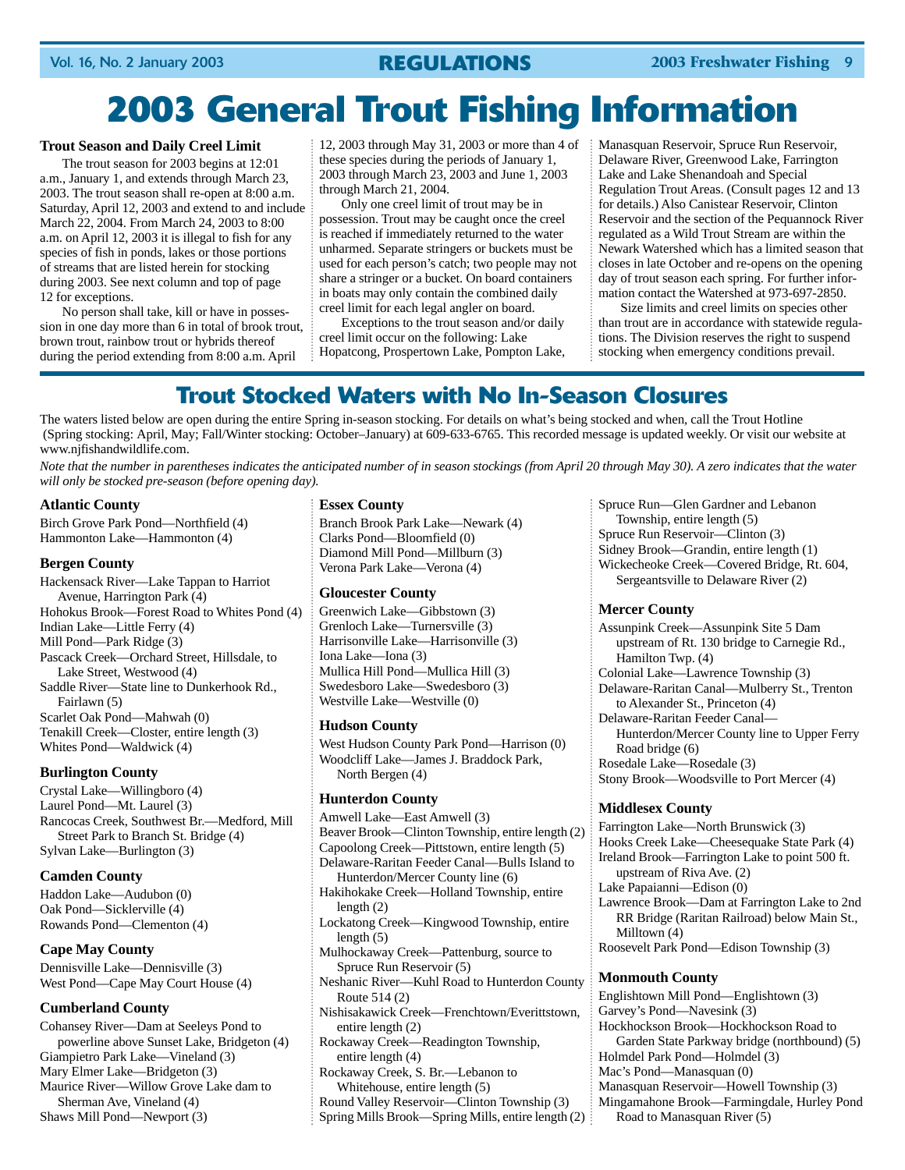## **2003 General Trout Fishing Information**

### **Trout Season and Daily Creel Limit**

The trout season for 2003 begins at 12:01 a.m., January 1, and extends through March 23, 2003. The trout season shall re-open at 8:00 a.m. Saturday, April 12, 2003 and extend to and include March 22, 2004. From March 24, 2003 to 8:00 a.m. on April 12, 2003 it is illegal to fish for any species of fish in ponds, lakes or those portions of streams that are listed herein for stocking during 2003. See next column and top of page 12 for exceptions.

No person shall take, kill or have in possession in one day more than 6 in total of brook trout, brown trout, rainbow trout or hybrids thereof during the period extending from 8:00 a.m. April

12, 2003 through May 31, 2003 or more than 4 of these species during the periods of January 1, 2003 through March 23, 2003 and June 1, 2003 through March 21, 2004.

Only one creel limit of trout may be in possession. Trout may be caught once the creel is reached if immediately returned to the water unharmed. Separate stringers or buckets must be used for each person's catch; two people may not share a stringer or a bucket. On board containers in boats may only contain the combined daily creel limit for each legal angler on board.

Exceptions to the trout season and/or daily creel limit occur on the following: Lake Hopatcong, Prospertown Lake, Pompton Lake, Manasquan Reservoir, Spruce Run Reservoir, Delaware River, Greenwood Lake, Farrington Lake and Lake Shenandoah and Special Regulation Trout Areas. (Consult pages 12 and 13 for details.) Also Canistear Reservoir, Clinton Reservoir and the section of the Pequannock River regulated as a Wild Trout Stream are within the Newark Watershed which has a limited season that closes in late October and re-opens on the opening day of trout season each spring. For further information contact the Watershed at 973-697-2850.

Size limits and creel limits on species other than trout are in accordance with statewide regulations. The Division reserves the right to suspend stocking when emergency conditions prevail.

### **Trout Stocked Waters with No In-Season Closures**

The waters listed below are open during the entire Spring in-season stocking. For details on what's being stocked and when, call the Trout Hotline (Spring stocking: April, May; Fall/Winter stocking: October–January) at 609-633-6765. This recorded message is updated weekly. Or visit our website at www.njfishandwildlife.com.

*Note that the number in parentheses indicates the anticipated number of in season stockings (from April 20 through May 30). A zero indicates that the water will only be stocked pre-season (before opening day).*

### **Atlantic County**

Birch Grove Park Pond—Northfield (4) Hammonton Lake—Hammonton (4)

### **Bergen County**

Hackensack River—Lake Tappan to Harriot Avenue, Harrington Park (4) Hohokus Brook—Forest Road to Whites Pond (4) Indian Lake—Little Ferry (4) Mill Pond—Park Ridge (3) Pascack Creek—Orchard Street, Hillsdale, to Lake Street, Westwood (4) Saddle River—State line to Dunkerhook Rd., Fairlawn (5) Scarlet Oak Pond—Mahwah (0) Tenakill Creek—Closter, entire length (3) Whites Pond—Waldwick (4)

### **Burlington County**

Crystal Lake—Willingboro (4) Laurel Pond—Mt. Laurel (3) Rancocas Creek, Southwest Br.—Medford, Mill Street Park to Branch St. Bridge (4) Sylvan Lake—Burlington (3)

### **Camden County**

Haddon Lake—Audubon (0) Oak Pond—Sicklerville (4) Rowands Pond—Clementon (4)

### **Cape May County**

Dennisville Lake—Dennisville (3) West Pond—Cape May Court House (4)

### **Cumberland County**

Cohansey River—Dam at Seeleys Pond to powerline above Sunset Lake, Bridgeton (4) Giampietro Park Lake—Vineland (3) Mary Elmer Lake—Bridgeton (3) Maurice River—Willow Grove Lake dam to Sherman Ave, Vineland (4) Shaws Mill Pond—Newport (3)

### **Essex County**

Branch Brook Park Lake—Newark (4) Clarks Pond—Bloomfield (0) Diamond Mill Pond—Millburn (3) Verona Park Lake—Verona (4)

### **Gloucester County**

Greenwich Lake—Gibbstown (3) Grenloch Lake—Turnersville (3) Harrisonville Lake—Harrisonville (3) Iona Lake—Iona (3) Mullica Hill Pond—Mullica Hill (3) Swedesboro Lake—Swedesboro (3) Westville Lake—Westville (0)

### **Hudson County**

West Hudson County Park Pond—Harrison (0) Woodcliff Lake—James J. Braddock Park, North Bergen (4)

### **Hunterdon County**

- Amwell Lake—East Amwell (3) Beaver Brook—Clinton Township, entire length (2) Capoolong Creek—Pittstown, entire length (5) Delaware-Raritan Feeder Canal—Bulls Island to Hunterdon/Mercer County line (6) Hakihokake Creek—Holland Township, entire length (2) Lockatong Creek—Kingwood Township, entire length  $(5)$ Mulhockaway Creek—Pattenburg, source to Spruce Run Reservoir (5) Neshanic River—Kuhl Road to Hunterdon County Route 514 (2) Nishisakawick Creek—Frenchtown/Everittstown, entire length (2) Rockaway Creek—Readington Township, entire length (4) Rockaway Creek, S. Br.—Lebanon to Whitehouse, entire length (5)
- Round Valley Reservoir—Clinton Township (3)
- Spring Mills Brook—Spring Mills, entire length (2)

Spruce Run—Glen Gardner and Lebanon Township, entire length (5) Spruce Run Reservoir—Clinton (3) Sidney Brook—Grandin, entire length (1) Wickecheoke Creek—Covered Bridge, Rt. 604, Sergeantsville to Delaware River (2)

### **Mercer County**

Assunpink Creek—Assunpink Site 5 Dam upstream of Rt. 130 bridge to Carnegie Rd., Hamilton Twp. (4) Colonial Lake—Lawrence Township (3) Delaware-Raritan Canal—Mulberry St., Trenton to Alexander St., Princeton (4) Delaware-Raritan Feeder Canal— Hunterdon/Mercer County line to Upper Ferry Road bridge (6) Rosedale Lake—Rosedale (3) Stony Brook—Woodsville to Port Mercer (4)

### **Middlesex County**

Farrington Lake—North Brunswick (3) Hooks Creek Lake—Cheesequake State Park (4) Ireland Brook—Farrington Lake to point 500 ft. upstream of Riva Ave. (2) Lake Papaianni—Edison (0) Lawrence Brook—Dam at Farrington Lake to 2nd RR Bridge (Raritan Railroad) below Main St., Milltown (4) Roosevelt Park Pond—Edison Township (3) **Monmouth County** Englishtown Mill Pond—Englishtown (3) Garvey's Pond—Navesink (3) Hockhockson Brook—Hockhockson Road to Garden State Parkway bridge (northbound) (5) Holmdel Park Pond—Holmdel (3)

Mac's Pond—Manasquan (0)

- Manasquan Reservoir—Howell Township (3)
- Mingamahone Brook—Farmingdale, Hurley Pond
	- Road to Manasquan River (5)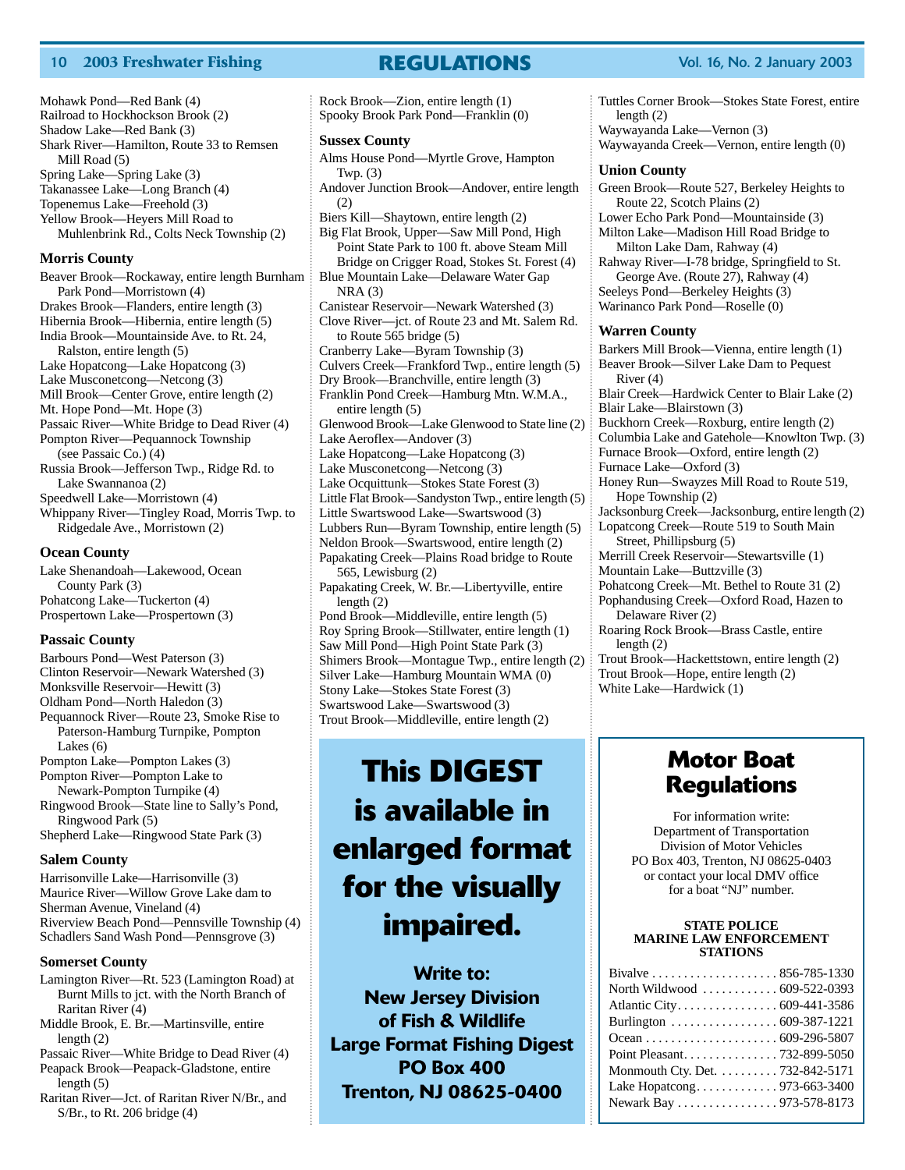### 10 **2003 Freshwater Fishing REGULATIONS** Vol. 16, No. 2 January 2003

Mohawk Pond—Red Bank (4) Railroad to Hockhockson Brook (2) Shadow Lake—Red Bank (3) Shark River—Hamilton, Route 33 to Remsen Mill Road (5) Spring Lake—Spring Lake (3) Takanassee Lake—Long Branch (4) Topenemus Lake—Freehold (3) Yellow Brook—Heyers Mill Road to Muhlenbrink Rd., Colts Neck Township (2)

### **Morris County**

Beaver Brook—Rockaway, entire length Burnham Park Pond—Morristown (4) Drakes Brook—Flanders, entire length (3) Hibernia Brook—Hibernia, entire length (5) India Brook—Mountainside Ave. to Rt. 24, Ralston, entire length (5) Lake Hopatcong—Lake Hopatcong (3) Lake Musconetcong—Netcong (3) Mill Brook—Center Grove, entire length (2) Mt. Hope Pond—Mt. Hope (3) Passaic River—White Bridge to Dead River (4) Pompton River—Pequannock Township (see Passaic Co.) (4) Russia Brook—Jefferson Twp., Ridge Rd. to Lake Swannanoa (2) Speedwell Lake—Morristown (4) Whippany River—Tingley Road, Morris Twp. to Ridgedale Ave., Morristown (2) **Ocean County** Lake Shenandoah—Lakewood, Ocean County Park (3)

Pohatcong Lake—Tuckerton (4) Prospertown Lake—Prospertown (3)

### **Passaic County**

Barbours Pond—West Paterson (3) Clinton Reservoir—Newark Watershed (3) Monksville Reservoir—Hewitt (3) Oldham Pond—North Haledon (3) Pequannock River—Route 23, Smoke Rise to Paterson-Hamburg Turnpike, Pompton Lakes (6) Pompton Lake—Pompton Lakes (3) Pompton River—Pompton Lake to Newark-Pompton Turnpike (4) Ringwood Brook—State line to Sally's Pond, Ringwood Park (5) Shepherd Lake—Ringwood State Park (3)

### **Salem County**

Harrisonville Lake—Harrisonville (3) Maurice River—Willow Grove Lake dam to Sherman Avenue, Vineland (4) Riverview Beach Pond—Pennsville Township (4) Schadlers Sand Wash Pond—Pennsgrove (3)

#### **Somerset County**

Lamington River—Rt. 523 (Lamington Road) at Burnt Mills to jct. with the North Branch of Raritan River (4)

Middle Brook, E. Br.—Martinsville, entire length (2)

Passaic River—White Bridge to Dead River (4) Peapack Brook—Peapack-Gladstone, entire length (5)

Raritan River—Jct. of Raritan River N/Br., and S/Br., to Rt. 206 bridge (4)

**Sussex County** Alms House Pond—Myrtle Grove, Hampton Twp. (3) Andover Junction Brook—Andover, entire length (2) Biers Kill—Shaytown, entire length (2) Big Flat Brook, Upper—Saw Mill Pond, High Point State Park to 100 ft. above Steam Mill Bridge on Crigger Road, Stokes St. Forest (4) Blue Mountain Lake—Delaware Water Gap  $NRA(3)$ Canistear Reservoir—Newark Watershed (3) Clove River—jct. of Route 23 and Mt. Salem Rd. to Route 565 bridge (5) Cranberry Lake—Byram Township (3) Culvers Creek—Frankford Twp., entire length (5) Dry Brook—Branchville, entire length (3) Franklin Pond Creek—Hamburg Mtn. W.M.A., entire length (5) Glenwood Brook—Lake Glenwood to State line (2) Lake Aeroflex—Andover (3) Lake Hopatcong—Lake Hopatcong (3) Lake Musconetcong—Netcong (3) Lake Ocquittunk—Stokes State Forest (3) Little Flat Brook—Sandyston Twp., entire length (5) Little Swartswood Lake—Swartswood (3) Lubbers Run—Byram Township, entire length (5) Neldon Brook—Swartswood, entire length (2) Papakating Creek—Plains Road bridge to Route 565, Lewisburg (2) Papakating Creek, W. Br.—Libertyville, entire length (2) Pond Brook—Middleville, entire length (5) Roy Spring Brook—Stillwater, entire length (1) Saw Mill Pond—High Point State Park (3) Shimers Brook—Montague Twp., entire length (2) Silver Lake—Hamburg Mountain WMA (0) Stony Lake—Stokes State Forest (3) Swartswood Lake—Swartswood (3) Trout Brook—Middleville, entire length (2)

Rock Brook—Zion, entire length (1) Spooky Brook Park Pond—Franklin (0)

### **This DIGEST is available in enlarged format for the visually impaired.**

**Write to: New Jersey Division of Fish & Wildlife Large Format Fishing Digest PO Box 400 Trenton, NJ 08625-0400**

Tuttles Corner Brook—Stokes State Forest, entire length (2) Waywayanda Lake—Vernon (3) Waywayanda Creek—Vernon, entire length (0)

#### **Union County**

Green Brook—Route 527, Berkeley Heights to Route 22, Scotch Plains (2) Lower Echo Park Pond—Mountainside (3) Milton Lake—Madison Hill Road Bridge to Milton Lake Dam, Rahway (4) Rahway River—I-78 bridge, Springfield to St. George Ave. (Route 27), Rahway (4) Seeleys Pond—Berkeley Heights (3) Warinanco Park Pond—Roselle (0) **Warren County** Barkers Mill Brook—Vienna, entire length (1) Beaver Brook—Silver Lake Dam to Pequest River (4) Blair Creek—Hardwick Center to Blair Lake (2) Blair Lake—Blairstown (3) Buckhorn Creek—Roxburg, entire length (2) Columbia Lake and Gatehole—Knowlton Twp. (3) Furnace Brook—Oxford, entire length (2) Furnace Lake—Oxford (3) Honey Run—Swayzes Mill Road to Route 519, Hope Township (2) Jacksonburg Creek—Jacksonburg, entire length (2) Lopatcong Creek—Route 519 to South Main Street, Phillipsburg (5) Merrill Creek Reservoir—Stewartsville (1) Mountain Lake—Buttzville (3) Pohatcong Creek—Mt. Bethel to Route 31 (2) Pophandusing Creek—Oxford Road, Hazen to Delaware River (2) Roaring Rock Brook—Brass Castle, entire length (2) Trout Brook—Hackettstown, entire length (2) Trout Brook—Hope, entire length (2) White Lake—Hardwick (1)

### **Motor Boat Regulations**

For information write: Department of Transportation Division of Motor Vehicles PO Box 403, Trenton, NJ 08625-0403 or contact your local DMV office for a boat "NJ" number.

#### **STATE POLICE MARINE LAW ENFORCEMENT STATIONS**

| North Wildwood  609-522-0393    |
|---------------------------------|
| Atlantic City. 609-441-3586     |
| Burlington 609-387-1221         |
|                                 |
| Point Pleasant. 732-899-5050    |
| Monmouth Cty. Det. 732-842-5171 |
| Lake Hopatcong973-663-3400      |
| Newark Bay 973-578-8173         |
|                                 |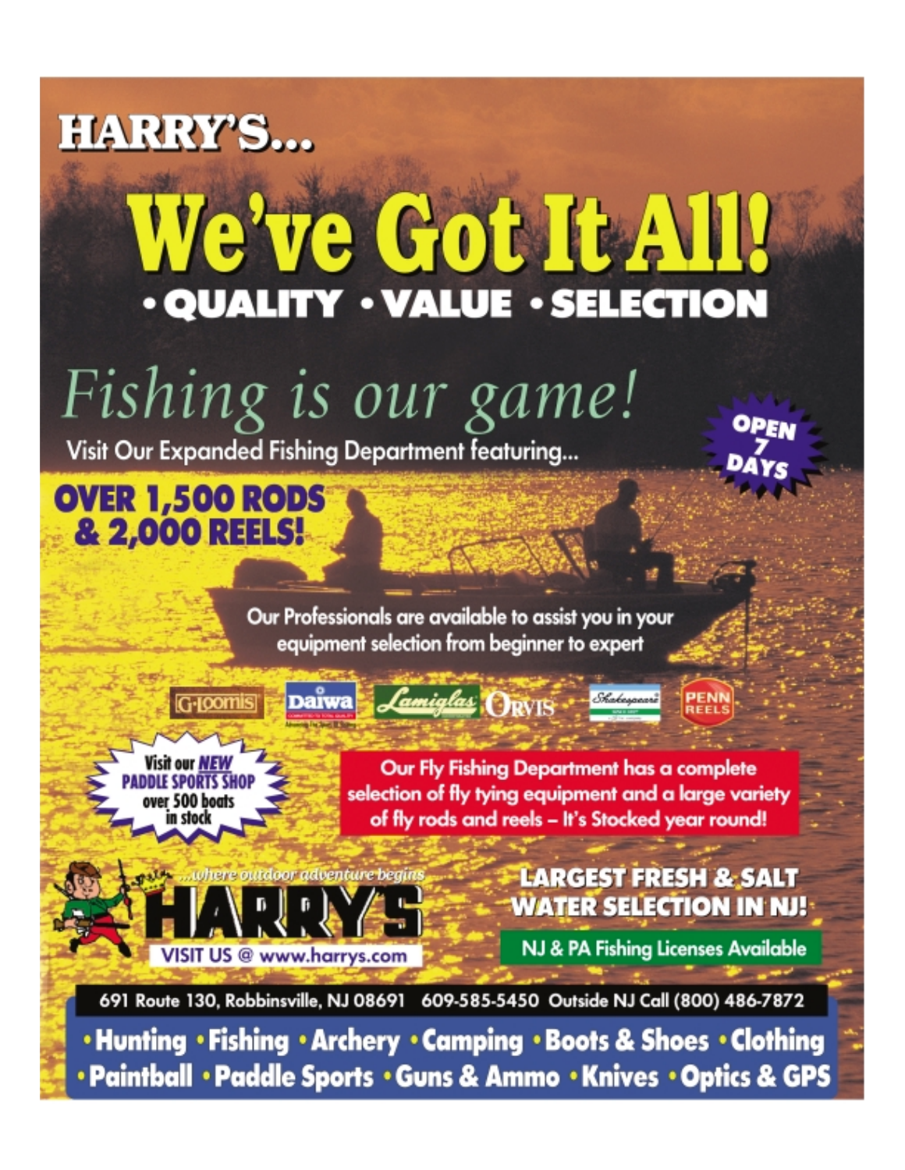# **HARRY'S...**

# We've Got It All! · QUALITY · VALUE · SELECTION

# Fishing is our game!

Visit Our Expanded Fishing Department featuring...

**OVER 1,500 RODS** & 2,000 REELS!

> Our Professionals are available to assist you in your equipment selection from beginner to expert

> > Lamiglas ORVIS

fisit our NEW **DDLE SPORTS SHOI** over 500 boats n stock

G-Ioomis

Our Fly Fishing Department has a complete selection of fly tying equipment and a large variety of fly rods and reels - It's Stocked year round!

iere outdoor adventure begin

VISIT US @ www.harrys.com

### **LARGEST FRESH & SALT WATER SELECTION IN NJ!**

NJ & PA Fishing Licenses Available

691 Route 130, Robbinsville, NJ 08691 609-585-5450 Outside NJ Call (800) 486-7872

• Hunting • Fishing • Archery • Camping • Boots & Shoes • Clothing • Paintball • Paddle Sports • Guns & Ammo • Knives • Optics & GPS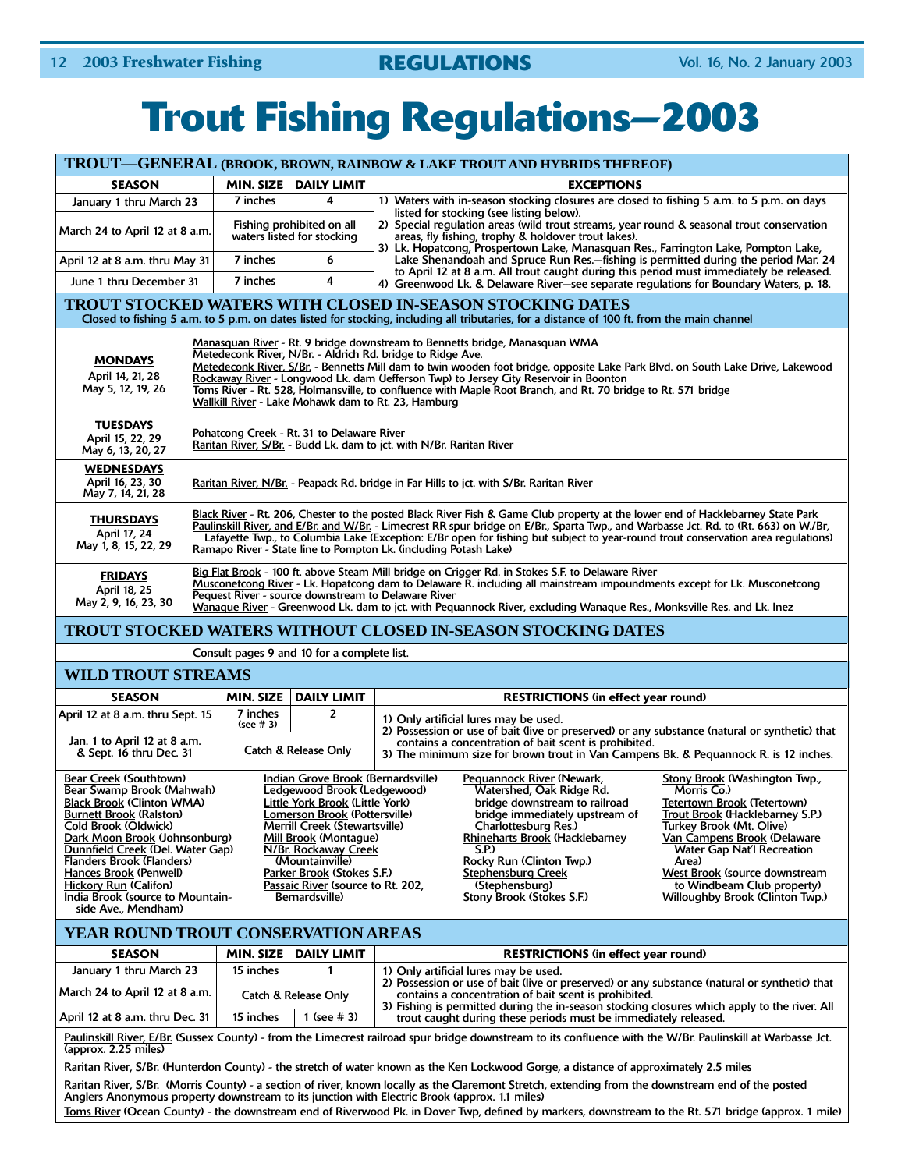## **Trout Fishing Regulations—2003**

| TROUT-GENERAL (BROOK, BROWN, RAINBOW & LAKE TROUT AND HYBRIDS THEREOF)                                                                                                                                                                                                                                                                                                                                                                                                                                                                       |                                                                                                                                                                                                                                                                                                                                                                                                                                                                                                                                              |                                                                                                                                                                                                                                                                                                                                        |                                                                                                                                                                                                                                                                                                                                                                                                                                                                                                                                                                                                                                               |  |  |  |  |
|----------------------------------------------------------------------------------------------------------------------------------------------------------------------------------------------------------------------------------------------------------------------------------------------------------------------------------------------------------------------------------------------------------------------------------------------------------------------------------------------------------------------------------------------|----------------------------------------------------------------------------------------------------------------------------------------------------------------------------------------------------------------------------------------------------------------------------------------------------------------------------------------------------------------------------------------------------------------------------------------------------------------------------------------------------------------------------------------------|----------------------------------------------------------------------------------------------------------------------------------------------------------------------------------------------------------------------------------------------------------------------------------------------------------------------------------------|-----------------------------------------------------------------------------------------------------------------------------------------------------------------------------------------------------------------------------------------------------------------------------------------------------------------------------------------------------------------------------------------------------------------------------------------------------------------------------------------------------------------------------------------------------------------------------------------------------------------------------------------------|--|--|--|--|
| <b>SEASON</b>                                                                                                                                                                                                                                                                                                                                                                                                                                                                                                                                |                                                                                                                                                                                                                                                                                                                                                                                                                                                                                                                                              | MIN. SIZE   DAILY LIMIT                                                                                                                                                                                                                                                                                                                | <b>EXCEPTIONS</b>                                                                                                                                                                                                                                                                                                                                                                                                                                                                                                                                                                                                                             |  |  |  |  |
| January 1 thru March 23                                                                                                                                                                                                                                                                                                                                                                                                                                                                                                                      | 7 inches                                                                                                                                                                                                                                                                                                                                                                                                                                                                                                                                     | 4                                                                                                                                                                                                                                                                                                                                      | 1) Waters with in-season stocking closures are closed to fishing 5 a.m. to 5 p.m. on days<br>listed for stocking (see listing below).                                                                                                                                                                                                                                                                                                                                                                                                                                                                                                         |  |  |  |  |
| March 24 to April 12 at 8 a.m.                                                                                                                                                                                                                                                                                                                                                                                                                                                                                                               |                                                                                                                                                                                                                                                                                                                                                                                                                                                                                                                                              | Fishing prohibited on all<br>waters listed for stocking                                                                                                                                                                                                                                                                                | 2) Special regulation areas (wild trout streams, year round & seasonal trout conservation<br>areas, fly fishing, trophy & holdover trout lakes).<br>3) Lk. Hopatcong, Prospertown Lake, Manasquan Res., Farrington Lake, Pompton Lake,                                                                                                                                                                                                                                                                                                                                                                                                        |  |  |  |  |
| April 12 at 8 a.m. thru May 31                                                                                                                                                                                                                                                                                                                                                                                                                                                                                                               | 7 inches                                                                                                                                                                                                                                                                                                                                                                                                                                                                                                                                     | 6                                                                                                                                                                                                                                                                                                                                      | Lake Shenandoah and Spruce Run Res.-fishing is permitted during the period Mar. 24<br>to April 12 at 8 a.m. All trout caught during this period must immediately be released.                                                                                                                                                                                                                                                                                                                                                                                                                                                                 |  |  |  |  |
| June 1 thru December 31                                                                                                                                                                                                                                                                                                                                                                                                                                                                                                                      | 7 inches                                                                                                                                                                                                                                                                                                                                                                                                                                                                                                                                     | 4                                                                                                                                                                                                                                                                                                                                      | 4) Greenwood Lk. & Delaware River-see separate regulations for Boundary Waters, p. 18.                                                                                                                                                                                                                                                                                                                                                                                                                                                                                                                                                        |  |  |  |  |
|                                                                                                                                                                                                                                                                                                                                                                                                                                                                                                                                              |                                                                                                                                                                                                                                                                                                                                                                                                                                                                                                                                              |                                                                                                                                                                                                                                                                                                                                        | <b>TROUT STOCKED WATERS WITH CLOSED IN-SEASON STOCKING DATES</b><br>Closed to fishing 5 a.m. to 5 p.m. on dates listed for stocking, including all tributaries, for a distance of 100 ft. from the main channel                                                                                                                                                                                                                                                                                                                                                                                                                               |  |  |  |  |
| <b>MONDAYS</b><br>April 14, 21, 28<br>May 5, 12, 19, 26                                                                                                                                                                                                                                                                                                                                                                                                                                                                                      | Manasquan River - Rt. 9 bridge downstream to Bennetts bridge, Manasquan WMA<br>Metedeconk River, N/Br. - Aldrich Rd. bridge to Ridge Ave.<br>Metedeconk River, S/Br. - Bennetts Mill dam to twin wooden foot bridge, opposite Lake Park Blvd. on South Lake Drive, Lakewood<br>Rockaway River - Longwood Lk. dam (Jefferson Twp) to Jersey City Reservoir in Boonton<br>Toms River - Rt. 528, Holmansville, to confluence with Maple Root Branch, and Rt. 70 bridge to Rt. 571 bridge<br>Wallkill River - Lake Mohawk dam to Rt. 23, Hamburg |                                                                                                                                                                                                                                                                                                                                        |                                                                                                                                                                                                                                                                                                                                                                                                                                                                                                                                                                                                                                               |  |  |  |  |
| <b>TUESDAYS</b><br>April 15, 22, 29<br>May 6, 13, 20, 27                                                                                                                                                                                                                                                                                                                                                                                                                                                                                     |                                                                                                                                                                                                                                                                                                                                                                                                                                                                                                                                              | Pohatcong Creek - Rt. 31 to Delaware River                                                                                                                                                                                                                                                                                             | Raritan River, S/Br. - Budd Lk. dam to jct. with N/Br. Raritan River                                                                                                                                                                                                                                                                                                                                                                                                                                                                                                                                                                          |  |  |  |  |
| <b>WEDNESDAYS</b><br>April 16, 23, 30<br>May 7, 14, 21, 28                                                                                                                                                                                                                                                                                                                                                                                                                                                                                   |                                                                                                                                                                                                                                                                                                                                                                                                                                                                                                                                              |                                                                                                                                                                                                                                                                                                                                        | Raritan River, N/Br. - Peapack Rd. bridge in Far Hills to jct. with S/Br. Raritan River                                                                                                                                                                                                                                                                                                                                                                                                                                                                                                                                                       |  |  |  |  |
| Black River - Rt. 206, Chester to the posted Black River Fish & Game Club property at the lower end of Hacklebarney State Park<br><b>THURSDAYS</b><br>Paulinskill River, and E/Br. and W/Br. - Limecrest RR spur bridge on E/Br., Sparta Twp., and Warbasse Jct. Rd. to (Rt. 663) on W./Br,<br>April 17, 24<br>Lafayette Twp., to Columbia Lake (Exception: E/Br open for fishing but subject to year-round trout conservation area regulations)<br>May 1, 8, 15, 22, 29<br>Ramapo River - State line to Pompton Lk. (including Potash Lake) |                                                                                                                                                                                                                                                                                                                                                                                                                                                                                                                                              |                                                                                                                                                                                                                                                                                                                                        |                                                                                                                                                                                                                                                                                                                                                                                                                                                                                                                                                                                                                                               |  |  |  |  |
| <b>FRIDAYS</b><br>April 18, 25<br>May 2, 9, 16, 23, 30                                                                                                                                                                                                                                                                                                                                                                                                                                                                                       |                                                                                                                                                                                                                                                                                                                                                                                                                                                                                                                                              |                                                                                                                                                                                                                                                                                                                                        | Big Flat Brook - 100 ft. above Steam Mill bridge on Crigger Rd. in Stokes S.F. to Delaware River<br>Musconetcong River - Lk. Hopatcong dam to Delaware R. including all mainstream impoundments except for Lk. Musconetcong<br>Pequest River - source downstream to Delaware River<br>Wanague River - Greenwood Lk. dam to jct. with Pequannock River, excluding Wanaque Res., Monksville Res. and Lk. Inez                                                                                                                                                                                                                                   |  |  |  |  |
|                                                                                                                                                                                                                                                                                                                                                                                                                                                                                                                                              |                                                                                                                                                                                                                                                                                                                                                                                                                                                                                                                                              |                                                                                                                                                                                                                                                                                                                                        | TROUT STOCKED WATERS WITHOUT CLOSED IN-SEASON STOCKING DATES                                                                                                                                                                                                                                                                                                                                                                                                                                                                                                                                                                                  |  |  |  |  |
|                                                                                                                                                                                                                                                                                                                                                                                                                                                                                                                                              |                                                                                                                                                                                                                                                                                                                                                                                                                                                                                                                                              | Consult pages 9 and 10 for a complete list.                                                                                                                                                                                                                                                                                            |                                                                                                                                                                                                                                                                                                                                                                                                                                                                                                                                                                                                                                               |  |  |  |  |
| <b>WILD TROUT STREAMS</b>                                                                                                                                                                                                                                                                                                                                                                                                                                                                                                                    |                                                                                                                                                                                                                                                                                                                                                                                                                                                                                                                                              |                                                                                                                                                                                                                                                                                                                                        |                                                                                                                                                                                                                                                                                                                                                                                                                                                                                                                                                                                                                                               |  |  |  |  |
| <b>SEASON</b>                                                                                                                                                                                                                                                                                                                                                                                                                                                                                                                                | MIN. SIZE                                                                                                                                                                                                                                                                                                                                                                                                                                                                                                                                    | <b>DAILY LIMIT</b>                                                                                                                                                                                                                                                                                                                     | <b>RESTRICTIONS (in effect year round)</b>                                                                                                                                                                                                                                                                                                                                                                                                                                                                                                                                                                                                    |  |  |  |  |
| April 12 at 8 a.m. thru Sept. 15                                                                                                                                                                                                                                                                                                                                                                                                                                                                                                             | 7 inches<br>(see # 3)                                                                                                                                                                                                                                                                                                                                                                                                                                                                                                                        | $\overline{2}$                                                                                                                                                                                                                                                                                                                         | 1) Only artificial lures may be used.<br>2) Possession or use of bait (live or preserved) or any substance (natural or synthetic) that                                                                                                                                                                                                                                                                                                                                                                                                                                                                                                        |  |  |  |  |
| Jan. 1 to April 12 at 8 a.m.<br>contains a concentration of bait scent is prohibited.<br>Catch & Release Only<br>& Sept. 16 thru Dec. 31<br>3) The minimum size for brown trout in Van Campens Bk. & Pequannock R. is 12 inches.                                                                                                                                                                                                                                                                                                             |                                                                                                                                                                                                                                                                                                                                                                                                                                                                                                                                              |                                                                                                                                                                                                                                                                                                                                        |                                                                                                                                                                                                                                                                                                                                                                                                                                                                                                                                                                                                                                               |  |  |  |  |
| <b>Bear Creek (Southtown)</b><br>Bear Swamp Brook (Mahwah)<br><b>Black Brook (Clinton WMA)</b><br><b>Burnett Brook (Ralston)</b><br><b>Cold Brook (Oldwick)</b><br>Dark Moon Brook (Johnsonburg)<br>Dunnfield Creek (Del. Water Gap)<br><b>Flanders Brook (Flanders)</b><br>Hances Brook (Penwell)<br><b>Hickory Run (Califon)</b><br>India Brook (source to Mountain-<br>side Ave., Mendham)                                                                                                                                                |                                                                                                                                                                                                                                                                                                                                                                                                                                                                                                                                              | Indian Grove Brook (Bernardsville)<br>Ledgewood Brook (Ledgewood)<br>Little York Brook (Little York)<br>Lomerson Brook (Pottersville)<br><b>Merrill Creek (Stewartsville)</b><br>Mill Brook (Montague)<br>N/Br. Rockaway Creek<br>(Mountainville)<br>Parker Brook (Stokes S.F.)<br>Passaic River (source to Rt. 202,<br>Bernardsville) | Stony Brook (Washington Twp.,<br>Pequannock River (Newark,<br>Watershed, Oak Ridge Rd.<br>Morris Co.)<br>bridge downstream to railroad<br>Tetertown Brook (Tetertown)<br>Trout Brook (Hacklebarney S.P.)<br>bridge immediately upstream of<br>Charlottesburg Res.)<br>Turkey Brook (Mt. Olive)<br>Rhineharts Brook (Hacklebarney<br>Van Campens Brook (Delaware<br><b>Water Gap Nat'l Recreation</b><br>S.P.<br>Rocky Run (Clinton Twp.)<br>Area)<br><b>Stephensburg Creek</b><br>West Brook (source downstream<br>(Stephensburg)<br>to Windbeam Club property)<br><b>Stony Brook (Stokes S.F.)</b><br><b>Willoughby Brook (Clinton Twp.)</b> |  |  |  |  |

### **YEAR ROUND TROUT CONSERVATION AREAS**

| <b>SEASON</b>                                |           | MIN. SIZE   DAILY LIMIT | <b>RESTRICTIONS (in effect year round)</b>                                                                                                                                                                                                             |  |  |  |
|----------------------------------------------|-----------|-------------------------|--------------------------------------------------------------------------------------------------------------------------------------------------------------------------------------------------------------------------------------------------------|--|--|--|
| January 1 thru March 23                      | 15 inches |                         | 1) Only artificial lures may be used.                                                                                                                                                                                                                  |  |  |  |
| March 24 to April 12 at 8 a.m.               |           | Catch & Release Only    | 2) Possession or use of bait (live or preserved) or any substance (natural or synthetic) that<br>contains a concentration of bait scent is prohibited.<br>3) Fishing is permitted during the in-season stocking closures which apply to the river. All |  |  |  |
| April 12 at 8 a.m. thru Dec. 31<br>15 inches |           | 1 (see # 3)             | trout caught during these periods must be immediately released.                                                                                                                                                                                        |  |  |  |

<u>Paulinskill River, E/Br.</u> (Sussex County) - from the Limecrest railroad spur bridge downstream to its confluence with the W/Br. Paulinskill at Warbasse Jct.<br>(approx. 2.25 miles)

Raritan River, S/Br. (Hunterdon County) - the stretch of water known as the Ken Lockwood Gorge, a distance of approximately 2.5 miles

Raritan River, S/Br. (Morris County) - a section of river, known locally as the Claremont Stretch, extending from the downstream end of the posted Anglers Anonymous property downstream to its junction with Electric Brook (approx. 1.1 miles)

Toms River (Ocean County) - the downstream end of Riverwood Pk. in Dover Twp, defined by markers, downstream to the Rt. 571 bridge (approx. 1 mile)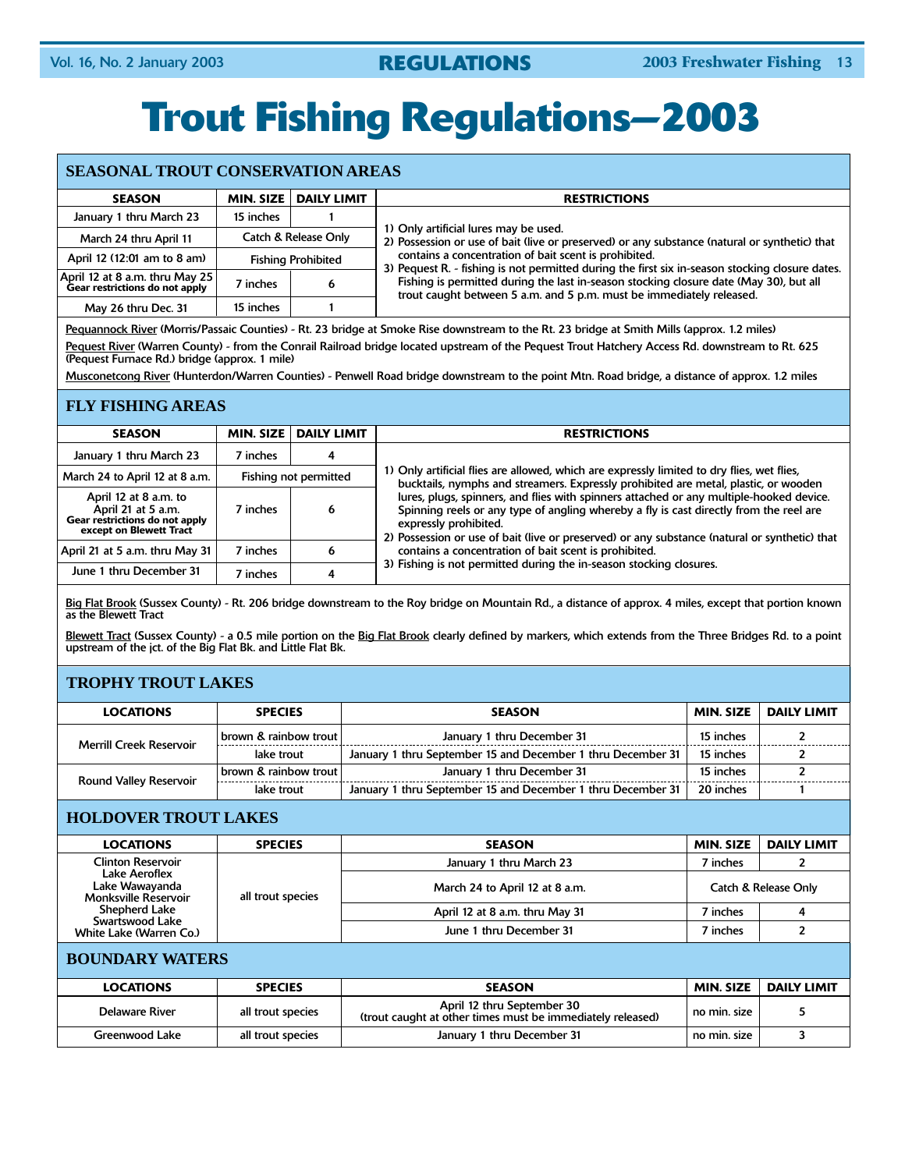# **Trout Fishing Regulations—2003**

### **SEASONAL TROUT CONSERVATION AREAS**

| <b>SEASON</b>                                                                    | <b>MIN. SIZE</b><br><b>DAILY LIMIT</b> |                           | <b>RESTRICTIONS</b>                                                                                                                                            |
|----------------------------------------------------------------------------------|----------------------------------------|---------------------------|----------------------------------------------------------------------------------------------------------------------------------------------------------------|
| January 1 thru March 23                                                          | 15 inches                              |                           |                                                                                                                                                                |
| March 24 thru April 11                                                           | Catch & Release Only                   |                           | 1) Only artificial lures may be used.<br>2) Possession or use of bait (live or preserved) or any substance (natural or synthetic) that                         |
| April 12 (12:01 am to 8 am)                                                      |                                        | <b>Fishing Prohibited</b> | contains a concentration of bait scent is prohibited.<br>3) Pequest R. - fishing is not permitted during the first six in-season stocking closure dates.       |
| $\vert$ April 12 at 8 a.m. thru May 25 $\vert$<br>Gear restrictions do not apply | 7 inches                               |                           | Fishing is permitted during the last in-season stocking closure date (May 30), but all<br>trout caught between 5 a.m. and 5 p.m. must be immediately released. |
| May 26 thru Dec. 31                                                              | 15 inches                              |                           |                                                                                                                                                                |

Pequannock River (Morris/Passaic Counties) - Rt. 23 bridge at Smoke Rise downstream to the Rt. 23 bridge at Smith Mills (approx. 1.2 miles)

<u>Pequest River</u> (Warren County) - from the Conrail Railroad bridge located upstream of the Pequest Trout Hatchery Access Rd. downstream to Rt. 625 (Pequest Furnace Rd.) bridge (approx. 1 mile)

Musconetcong River (Hunterdon/Warren Counties) - Penwell Road bridge downstream to the point Mtn. Road bridge, a distance of approx. 1.2 miles

### **FLY FISHING AREAS**

| <b>SEASON</b>                                                                                            | MIN. SIZE | <b>DAILY LIMIT</b>    | <b>RESTRICTIONS</b>                                                                                                                                                                                                                                                                                         |  |  |
|----------------------------------------------------------------------------------------------------------|-----------|-----------------------|-------------------------------------------------------------------------------------------------------------------------------------------------------------------------------------------------------------------------------------------------------------------------------------------------------------|--|--|
| January 1 thru March 23                                                                                  | 7 inches  | 4                     |                                                                                                                                                                                                                                                                                                             |  |  |
| March 24 to April 12 at 8 a.m.                                                                           |           | Fishing not permitted | 1) Only artificial flies are allowed, which are expressly limited to dry flies, wet flies,<br>bucktails, nymphs and streamers. Expressly prohibited are metal, plastic, or wooden                                                                                                                           |  |  |
| April 12 at 8 a.m. to<br>April 21 at 5 a.m.<br>Gear restrictions do not apply<br>except on Blewett Tract | 7 inches  | 6                     | lures, plugs, spinners, and flies with spinners attached or any multiple-hooked device.<br>Spinning reels or any type of angling whereby a fly is cast directly from the reel are<br>expressly prohibited.<br>2) Possession or use of bait (live or preserved) or any substance (natural or synthetic) that |  |  |
| April 21 at 5 a.m. thru May 31                                                                           | 7 inches  | 6                     | contains a concentration of bait scent is prohibited.                                                                                                                                                                                                                                                       |  |  |
| June 1 thru December 31                                                                                  | 7 inches  | 4                     | 3) Fishing is not permitted during the in-season stocking closures.                                                                                                                                                                                                                                         |  |  |

Big Flat Brook (Sussex County) - Rt. 206 bridge downstream to the Roy bridge on Mountain Rd., a distance of approx. 4 miles, except that portion known as the Blewett Tract

Blewett Tract (Sussex County) - a 0.5 mile portion on the Big Flat Brook clearly defined by markers, which extends from the Three Bridges Rd. to a point upstream of the jct. of the Big Flat Bk. and Little Flat Bk.

### **TROPHY TROUT LAKES**

| <b>LOCATIONS</b>               | <b>SPECIES</b>                   | <b>SEASON</b>                                               | MIN. SIZE | <b>DAILY LIMIT</b> |
|--------------------------------|----------------------------------|-------------------------------------------------------------|-----------|--------------------|
| <b>Merrill Creek Reservoir</b> | brown & rainbow trout            | January 1 thru December 31                                  | 15 inches |                    |
|                                | lake trout                       | January 1 thru September 15 and December 1 thru December 31 | 15 inches |                    |
| <b>Round Valley Reservoir</b>  | <b>brown &amp; rainbow trout</b> | January 1 thru December 31                                  | 15 inches |                    |
|                                | lake trout                       | January 1 thru September 15 and December 1 thru December 31 | 20 inches |                    |

### **HOLDOVER TROUT LAKES**

| <b>LOCATIONS</b>                                                                                                                                          | <b>SPECIES</b>    | <b>SEASON</b>                  | <b>MIN. SIZE</b> | <b>DAILY LIMIT</b>   |
|-----------------------------------------------------------------------------------------------------------------------------------------------------------|-------------------|--------------------------------|------------------|----------------------|
| <b>Clinton Reservoir</b><br>Lake Aeroflex<br>Lake Wawayanda<br><b>Monksville Reservoir</b><br>Shepherd Lake<br>Swartswood Lake<br>White Lake (Warren Co.) | all trout species | January 1 thru March 23        | 7 inches         |                      |
|                                                                                                                                                           |                   | March 24 to April 12 at 8 a.m. |                  | Catch & Release Only |
|                                                                                                                                                           |                   | April 12 at 8 a.m. thru May 31 | 7 inches         |                      |
|                                                                                                                                                           |                   | June 1 thru December 31        | 7 inches         |                      |

### **BOUNDARY WATERS**

| <b>LOCATIONS</b> | <b>SPECIES</b>    | <b>SEASON</b>                                                                            | MIN. SIZE    | DAILY LIMIT |
|------------------|-------------------|------------------------------------------------------------------------------------------|--------------|-------------|
| Delaware River   | all trout species | April 12 thru September 30<br>(trout caught at other times must be immediately released) | no min. size |             |
| Greenwood Lake   | all trout species | January 1 thru December 31                                                               | no min. size |             |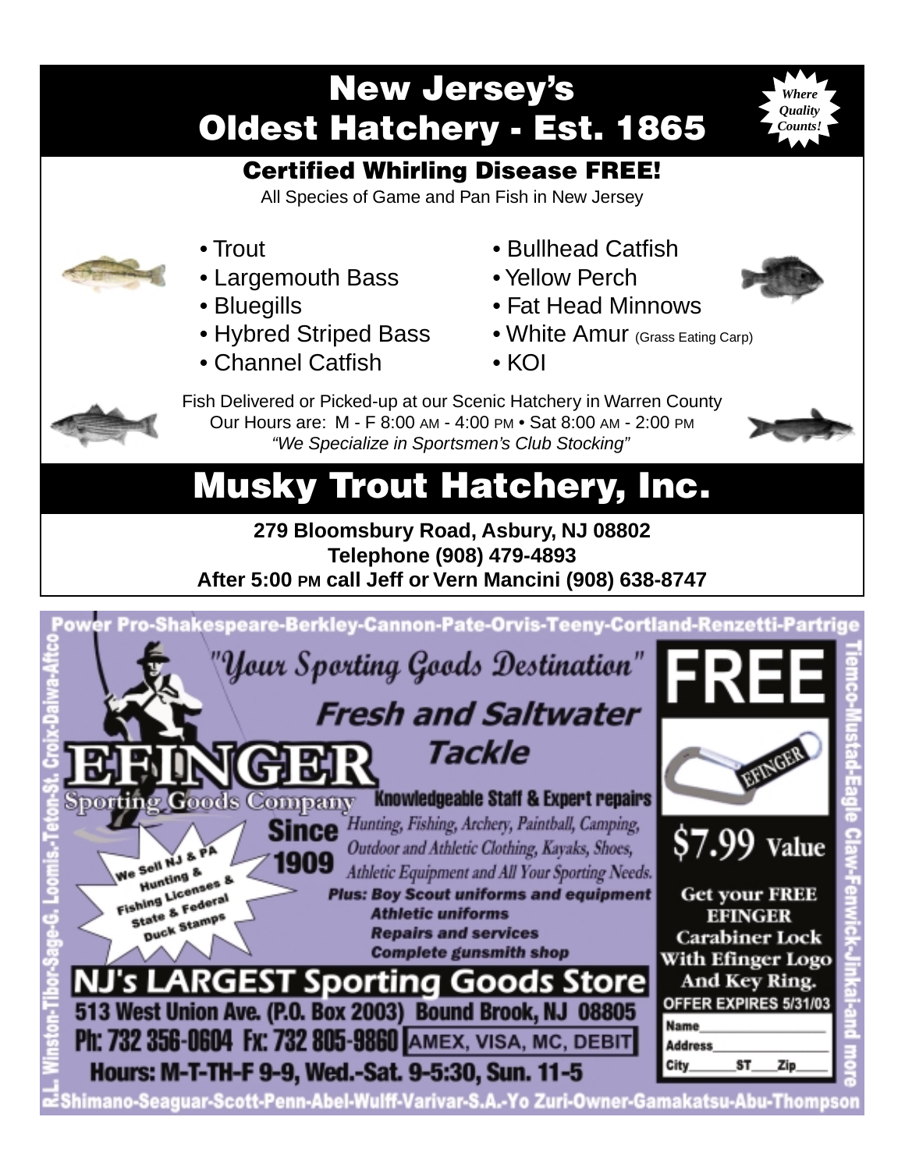